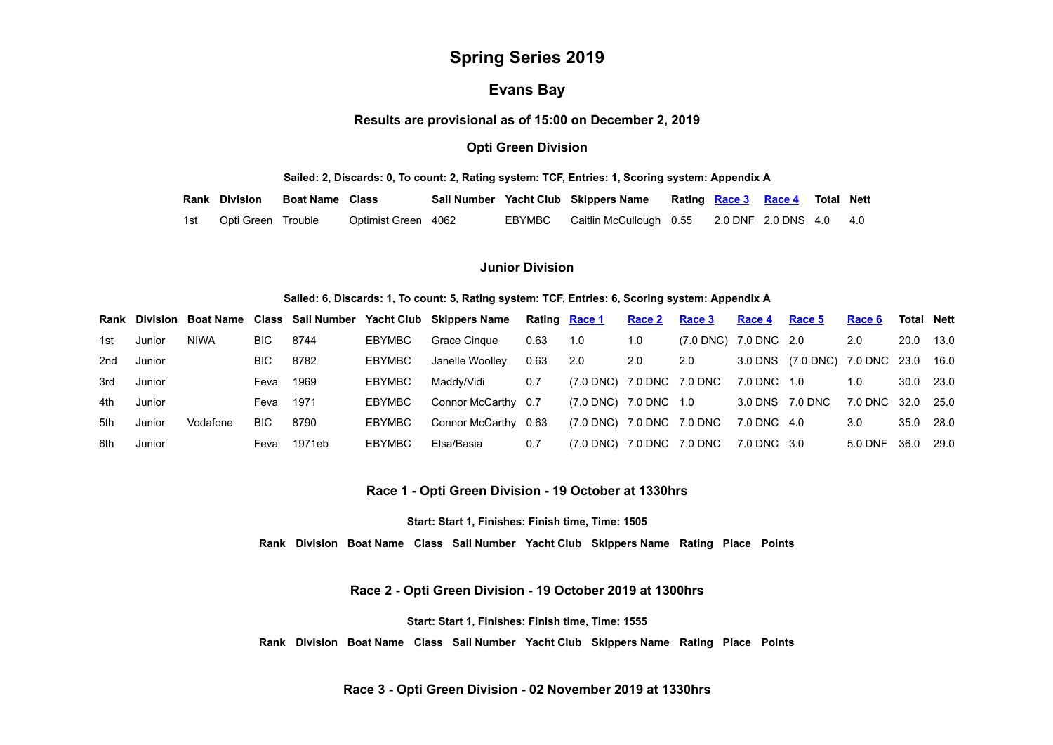# **Spring Series 2019**

# **Evans Bay**

**Results are provisional as of 15:00 on December 2, 2019**

# **Opti Green Division**

#### **Sailed: 2, Discards: 0, To count: 2, Rating system: TCF, Entries: 1, Scoring system: Appendix A**

| <b>Rank Division</b>   | <b>Boat Name</b> Class |                     |  | Sail Number Yacht Club Skippers Name                   |  | Rating <b>Race 3 Race 4</b> Total Nett |  |
|------------------------|------------------------|---------------------|--|--------------------------------------------------------|--|----------------------------------------|--|
| 1st Opti Green Trouble |                        | Optimist Green 4062 |  | EBYMBC Caitlin McCullough 0.55 2.0 DNF 2.0 DNS 4.0 4.0 |  |                                        |  |

# **Junior Division**

#### **Sailed: 6, Discards: 1, To count: 5, Rating system: TCF, Entries: 6, Scoring system: Appendix A**

|     |        |             |      |        |        | Rank Division Boat Name Class Sail Number Yacht Club Skippers Name |      | Rating Race 1             | <b>Race 2</b> | <u>Race 3</u>         | Race 4          | Race 5                              | Race 6            | Total Nett |      |
|-----|--------|-------------|------|--------|--------|--------------------------------------------------------------------|------|---------------------------|---------------|-----------------------|-----------------|-------------------------------------|-------------------|------------|------|
| 1st | Junior | <b>NIWA</b> | BIC. | 8744   | EBYMBC | Grace Cingue                                                       | 0.63 | 1.0                       | 1.0           | (7.0 DNC) 7.0 DNC 2.0 |                 |                                     | 2.0               | 20.0       | 13.0 |
| 2nd | Junior |             | BIC. | 8782   | EBYMBC | Janelle Woollev                                                    | 0.63 | 2.0                       | 2.0           | 2.0                   |                 | 3.0 DNS (7.0 DNC) 7.0 DNC 23.0 16.0 |                   |            |      |
| 3rd | Junior |             | Feva | 1969   | EBYMBC | Maddv/Vidi                                                         | 0.7  | (7.0 DNC) 7.0 DNC 7.0 DNC |               |                       | 7.0 DNC 1.0     |                                     | 1.0               | 30.0       | 23.0 |
| 4th | Junior |             | Feva | 1971   | EBYMBC | Connor McCarthy 0.7                                                |      | (7.0 DNC) 7.0 DNC 1.0     |               |                       | 3.0 DNS 7.0 DNC |                                     | 7.0 DNC 32.0 25.0 |            |      |
| 5th | Junior | Vodafone    | BIC. | 8790   | EBYMBC | Connor McCarthy 0.63                                               |      | (7.0 DNC) 7.0 DNC 7.0 DNC |               |                       | 7.0 DNC 4.0     |                                     | 3.0               | 35.0       | 28.0 |
| 6th | Junior |             | Feva | 1971eb | EBYMBC | Elsa/Basia                                                         | 0.7  | (7.0 DNC) 7.0 DNC 7.0 DNC |               |                       | 7.0 DNC 3.0     |                                     | 5.0 DNF           | 36.0       | 29.0 |

**Race 1 - Opti Green Division - 19 October at 1330hrs**

**Start: Start 1, Finishes: Finish time, Time: 1505**

**Rank Division Boat Name Class Sail Number Yacht Club Skippers Name Rating Place Points**

**Race 2 - Opti Green Division - 19 October 2019 at 1300hrs**

**Start: Start 1, Finishes: Finish time, Time: 1555**

<span id="page-0-0"></span>**Rank Division Boat Name Class Sail Number Yacht Club Skippers Name Rating Place Points**

**Race 3 - Opti Green Division - 02 November 2019 at 1330hrs**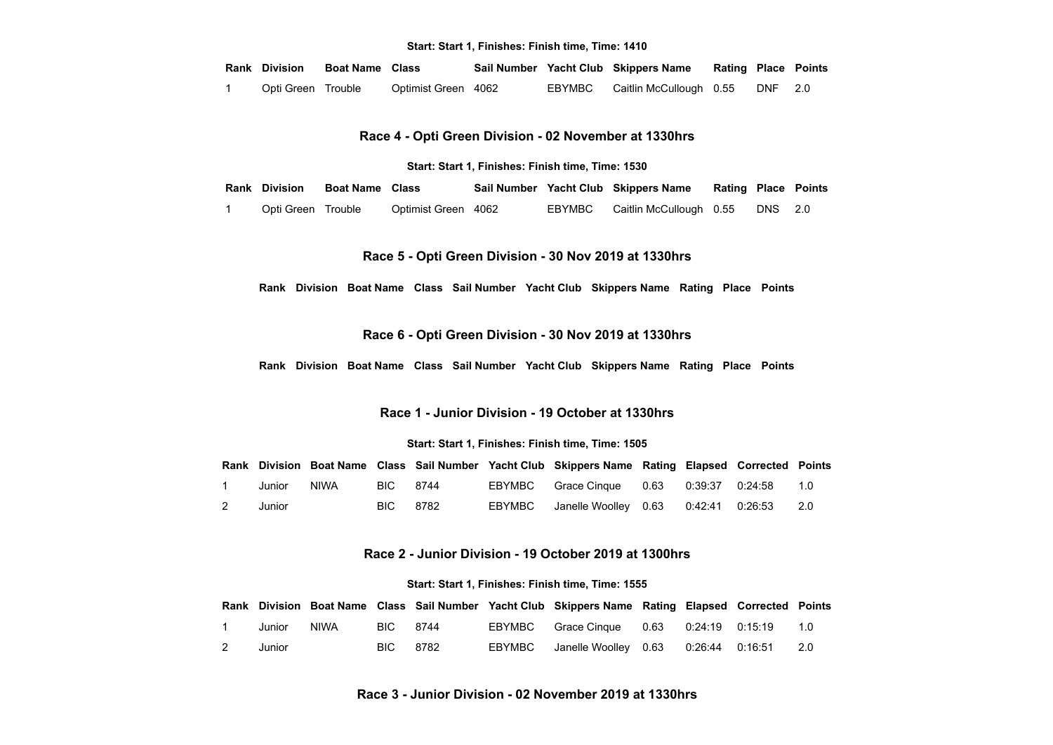#### **Start: Start 1, Finishes: Finish time, Time: 1410**

| <b>Rank Division</b> | <b>Boat Name</b> Class |                     |        | Sail Number Yacht Club Skippers Name | <b>Rating Place Points</b> |         |  |
|----------------------|------------------------|---------------------|--------|--------------------------------------|----------------------------|---------|--|
| Opti Green Trouble   |                        | Optimist Green 4062 | EBYMBC | Caitlin McCullough 0.55              |                            | DNF 2.0 |  |

**Race 4 - Opti Green Division - 02 November at 1330hrs**

**Start: Start 1, Finishes: Finish time, Time: 1530**

<span id="page-1-0"></span>**Rank Division Boat Name Class Sail Number Yacht Club Skippers Name Rating Place Points**

1 Opti Green Trouble Optimist Green 4062 EBYMBC Caitlin McCullough 0.55 DNS 2.0

## **Race 5 - Opti Green Division - 30 Nov 2019 at 1330hrs**

**Rank Division Boat Name Class Sail Number Yacht Club Skippers Name Rating Place Points**

## **Race 6 - Opti Green Division - 30 Nov 2019 at 1330hrs**

**Rank Division Boat Name Class Sail Number Yacht Club Skippers Name Rating Place Points**

#### **Race 1 - Junior Division - 19 October at 1330hrs**

#### **Start: Start 1, Finishes: Finish time, Time: 1505**

<span id="page-1-1"></span>

|   |        |      |          |  | Rank Division Boat Name Class Sail Number Yacht Club Skippers Name Rating Elapsed Corrected Points |  |  |
|---|--------|------|----------|--|----------------------------------------------------------------------------------------------------|--|--|
|   | Junior | NIWA | BIC 8744 |  | EBYMBC Grace Cinque 0.63 0.39:37 0.24:58 1.0                                                       |  |  |
| 2 | Junior |      | BIC 8782 |  | EBYMBC Janelle Woolley 0.63 0:42:41 0:26:53 2.0                                                    |  |  |

#### **Race 2 - Junior Division - 19 October 2019 at 1300hrs**

#### **Start: Start 1, Finishes: Finish time, Time: 1555**

<span id="page-1-3"></span><span id="page-1-2"></span>

|                  |        |      |          |        | Rank Division Boat Name Class Sail Number Yacht Club Skippers Name Rating Elapsed Corrected Points |  |     |
|------------------|--------|------|----------|--------|----------------------------------------------------------------------------------------------------|--|-----|
| $\blacksquare$ 1 | Junior | NIWA | BIC 8744 |        | EBYMBC Grace Cinque 0.63 0:24:19 0:15:19 1.0                                                       |  |     |
| $\overline{2}$   | Junior |      | BIC 8782 | EBYMBC | Janelle Woolley  0.63   0:26:44   0:16:51                                                          |  | 2.0 |

## **Race 3 - Junior Division - 02 November 2019 at 1330hrs**